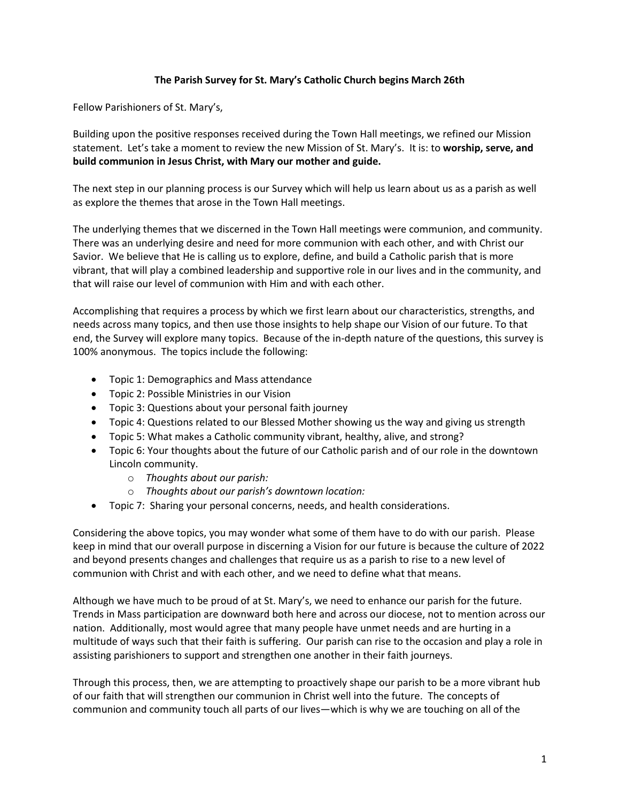## **The Parish Survey for St. Mary's Catholic Church begins March 26th**

Fellow Parishioners of St. Mary's,

Building upon the positive responses received during the Town Hall meetings, we refined our Mission statement. Let's take a moment to review the new Mission of St. Mary's. It is: to **worship, serve, and build communion in Jesus Christ, with Mary our mother and guide.**

The next step in our planning process is our Survey which will help us learn about us as a parish as well as explore the themes that arose in the Town Hall meetings.

The underlying themes that we discerned in the Town Hall meetings were communion, and community. There was an underlying desire and need for more communion with each other, and with Christ our Savior. We believe that He is calling us to explore, define, and build a Catholic parish that is more vibrant, that will play a combined leadership and supportive role in our lives and in the community, and that will raise our level of communion with Him and with each other.

Accomplishing that requires a process by which we first learn about our characteristics, strengths, and needs across many topics, and then use those insights to help shape our Vision of our future. To that end, the Survey will explore many topics. Because of the in-depth nature of the questions, this survey is 100% anonymous. The topics include the following:

- Topic 1: Demographics and Mass attendance
- Topic 2: Possible Ministries in our Vision
- Topic 3: Questions about your personal faith journey
- Topic 4: Questions related to our Blessed Mother showing us the way and giving us strength
- Topic 5: What makes a Catholic community vibrant, healthy, alive, and strong?
- Topic 6: Your thoughts about the future of our Catholic parish and of our role in the downtown Lincoln community.
	- o *Thoughts about our parish:*
	- o *Thoughts about our parish's downtown location:*
- Topic 7: Sharing your personal concerns, needs, and health considerations.

Considering the above topics, you may wonder what some of them have to do with our parish. Please keep in mind that our overall purpose in discerning a Vision for our future is because the culture of 2022 and beyond presents changes and challenges that require us as a parish to rise to a new level of communion with Christ and with each other, and we need to define what that means.

Although we have much to be proud of at St. Mary's, we need to enhance our parish for the future. Trends in Mass participation are downward both here and across our diocese, not to mention across our nation. Additionally, most would agree that many people have unmet needs and are hurting in a multitude of ways such that their faith is suffering. Our parish can rise to the occasion and play a role in assisting parishioners to support and strengthen one another in their faith journeys.

Through this process, then, we are attempting to proactively shape our parish to be a more vibrant hub of our faith that will strengthen our communion in Christ well into the future. The concepts of communion and community touch all parts of our lives—which is why we are touching on all of the